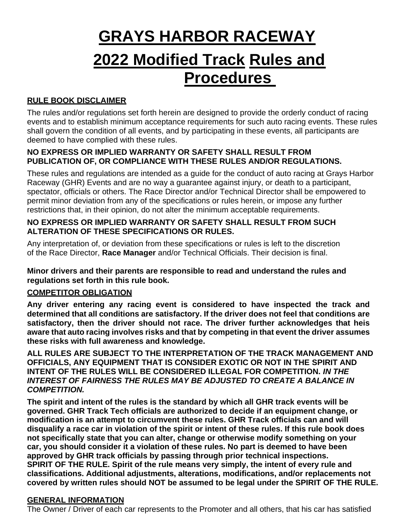# **GRAYS HARBOR RACEWAY 2022 Modified Track Rules and Procedures**

## **RULE BOOK DISCLAIMER**

The rules and/or regulations set forth herein are designed to provide the orderly conduct of racing events and to establish minimum acceptance requirements for such auto racing events. These rules shall govern the condition of all events, and by participating in these events, all participants are deemed to have complied with these rules.

## **NO EXPRESS OR IMPLIED WARRANTY OR SAFETY SHALL RESULT FROM PUBLICATION OF, OR COMPLIANCE WITH THESE RULES AND/OR REGULATIONS.**

These rules and regulations are intended as a guide for the conduct of auto racing at Grays Harbor Raceway (GHR) Events and are no way a guarantee against injury, or death to a participant, spectator, officials or others. The Race Director and/or Technical Director shall be empowered to permit minor deviation from any of the specifications or rules herein, or impose any further restrictions that, in their opinion, do not alter the minimum acceptable requirements.

#### **NO EXPRESS OR IMPLIED WARRANTY OR SAFETY SHALL RESULT FROM SUCH ALTERATION OF THESE SPECIFICATIONS OR RULES.**

Any interpretation of, or deviation from these specifications or rules is left to the discretion of the Race Director, **Race Manager** and/or Technical Officials. Their decision is final.

**Minor drivers and their parents are responsible to read and understand the rules and regulations set forth in this rule book.**

## **COMPETITOR OBLIGATION**

**Any driver entering any racing event is considered to have inspected the track and determined that all conditions are satisfactory. If the driver does not feel that conditions are satisfactory, then the driver should not race. The driver further acknowledges that heis aware that auto racing involves risks and that by competing in that event the driver assumes these risks with full awareness and knowledge.**

**ALL RULES ARE SUBJECT TO THE INTERPRETATION OF THE TRACK MANAGEMENT AND OFFICIALS, ANY EQUIPMENT THAT IS CONSIDER EXOTIC OR NOT IN THE SPIRIT AND INTENT OF THE RULES WILL BE CONSIDERED ILLEGAL FOR COMPETITION.** *IN THE INTEREST OF FAIRNESS THE RULES MAY BE ADJUSTED TO CREATE A BALANCE IN COMPETITION.*

**The spirit and intent of the rules is the standard by which all GHR track events will be governed. GHR Track Tech officials are authorized to decide if an equipment change, or modification is an attempt to circumvent these rules. GHR Track officials can and will disqualify a race car in violation of the spirit or intent of these rules. If this rule book does not specifically state that you can alter, change or otherwise modify something on your car, you should consider it a violation of these rules. No part is deemed to have been approved by GHR track officials by passing through prior technical inspections. SPIRIT OF THE RULE. Spirit of the rule means very simply, the intent of every rule and classifications. Additional adjustments, alterations, modifications, and/or replacements not covered by written rules should NOT be assumed to be legal under the SPIRIT OF THE RULE.**

#### **GENERAL INFORMATION**

The Owner / Driver of each car represents to the Promoter and all others, that his car has satisfied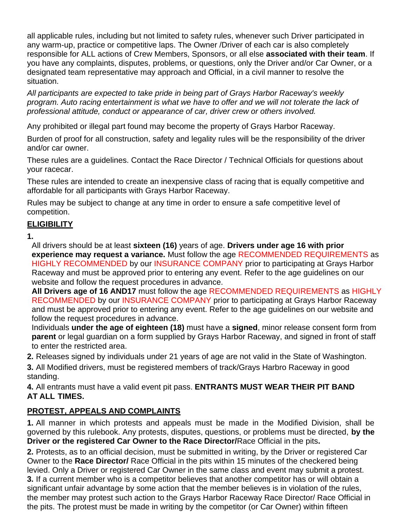all applicable rules, including but not limited to safety rules, whenever such Driver participated in any warm-up, practice or competitive laps. The Owner /Driver of each car is also completely responsible for ALL actions of Crew Members, Sponsors, or all else **associated with their team**. If you have any complaints, disputes, problems, or questions, only the Driver and/or Car Owner, or a designated team representative may approach and Official, in a civil manner to resolve the situation.

*All participants are expected to take pride in being part of Grays Harbor Raceway's weekly program. Auto racing entertainment is what we have to offer and we will not tolerate the lack of professional attitude, conduct or appearance of car, driver crew or others involved.*

Any prohibited or illegal part found may become the property of Grays Harbor Raceway.

Burden of proof for all construction, safety and legality rules will be the responsibility of the driver and/or car owner.

These rules are a guidelines. Contact the Race Director / Technical Officials for questions about your racecar.

These rules are intended to create an inexpensive class of racing that is equally competitive and affordable for all participants with Grays Harbor Raceway.

Rules may be subject to change at any time in order to ensure a safe competitive level of competition.

## **ELIGIBILITY**

**1.**

All drivers should be at least **sixteen (16)** years of age. **Drivers under age 16 with prior experience may request a variance.** Must follow the age RECOMMENDED REQUIREMENTS as HIGHLY RECOMMENDED by our INSURANCE COMPANY prior to participating at Grays Harbor Raceway and must be approved prior to entering any event. Refer to the age guidelines on our website and follow the request procedures in advance.

**All Drivers age of 16 AND17** must follow the age RECOMMENDED REQUIREMENTS as HIGHLY RECOMMENDED by our INSURANCE COMPANY prior to participating at Grays Harbor Raceway and must be approved prior to entering any event. Refer to the age guidelines on our website and follow the request procedures in advance.

Individuals **under the age of eighteen (18)** must have a **signed**, minor release consent form from **parent** or legal guardian on a form supplied by Grays Harbor Raceway, and signed in front of staff to enter the restricted area.

**2.** Releases signed by individuals under 21 years of age are not valid in the State of Washington.

**3.** All Modified drivers, must be registered members of track/Grays Harbro Raceway in good standing.

**4.** All entrants must have a valid event pit pass. **ENTRANTS MUST WEAR THEIR PIT BAND AT ALL TIMES.**

# **PROTEST, APPEALS AND COMPLAINTS**

**1.** All manner in which protests and appeals must be made in the Modified Division, shall be governed by this rulebook. Any protests, disputes, questions, or problems must be directed, **by the Driver or the registered Car Owner to the Race Director/**Race Official in the pits**.**

**2.** Protests, as to an official decision, must be submitted in writing, by the Driver or registered Car Owner to the **Race Director/** Race Official in the pits within 15 minutes of the checkered being levied. Only a Driver or registered Car Owner in the same class and event may submit a protest. **3.** If a current member who is a competitor believes that another competitor has or will obtain a significant unfair advantage by some action that the member believes is in violation of the rules, the member may protest such action to the Grays Harbor Raceway Race Director/ Race Official in the pits. The protest must be made in writing by the competitor (or Car Owner) within fifteen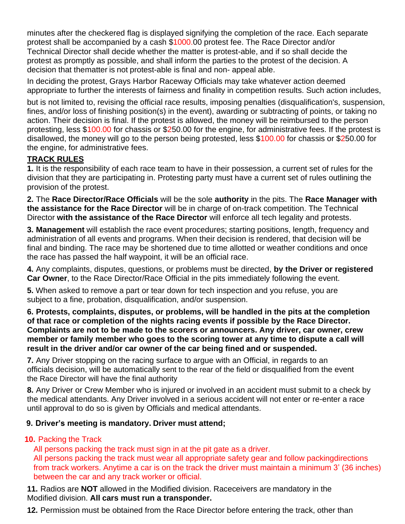minutes after the checkered flag is displayed signifying the completion of the race. Each separate protest shall be accompanied by a cash \$1000.00 protest fee. The Race Director and/or Technical Director shall decide whether the matter is protest-able, and if so shall decide the protest as promptly as possible, and shall inform the parties to the protest of the decision. A decision that thematter is not protest-able is final and non- appeal able.

In deciding the protest, Grays Harbor Raceway Officials may take whatever action deemed appropriate to further the interests of fairness and finality in competition results. Such action includes,

but is not limited to, revising the official race results, imposing penalties (disqualification's, suspension, fines, and/or loss of finishing position(s) in the event), awarding or subtracting of points, or taking no action. Their decision is final. If the protest is allowed, the money will be reimbursed to the person protesting, less \$100.00 for chassis or \$250.00 for the engine, for administrative fees. If the protest is disallowed, the money will go to the person being protested, less \$100.00 for chassis or \$250.00 for the engine, for administrative fees.

## **TRACK RULES**

**1.** It is the responsibility of each race team to have in their possession, a current set of rules for the division that they are participating in. Protesting party must have a current set of rules outlining the provision of the protest.

**2.** The **Race Director/Race Officials** will be the sole **authority** in the pits. The **Race Manager with the assistance for the Race Director** will be in charge of on-track competition. The Technical Director **with the assistance of the Race Director** will enforce all tech legality and protests.

**3. Management** will establish the race event procedures; starting positions, length, frequency and administration of all events and programs. When their decision is rendered, that decision will be final and binding. The race may be shortened due to time allotted or weather conditions and once the race has passed the half waypoint, it will be an official race.

**4.** Any complaints, disputes, questions, or problems must be directed, **by the Driver or registered Car Owner**, to the Race Director/Race Official in the pits immediately following the event.

**5.** When asked to remove a part or tear down for tech inspection and you refuse, you are subject to a fine, probation, disqualification, and/or suspension.

**6. Protests, complaints, disputes, or problems, will be handled in the pits at the completion of that race or completion of the nights racing events if possible by the Race Director. Complaints are not to be made to the scorers or announcers. Any driver, car owner, crew member or family member who goes to the scoring tower at any time to dispute a call will result in the driver and/or car owner of the car being fined and or suspended.**

**7.** Any Driver stopping on the racing surface to argue with an Official, in regards to an officials decision, will be automatically sent to the rear of the field or disqualified from the event the Race Director will have the final authority

**8.** Any Driver or Crew Member who is injured or involved in an accident must submit to a check by the medical attendants. Any Driver involved in a serious accident will not enter or re-enter a race until approval to do so is given by Officials and medical attendants.

## **9. Driver's meeting is mandatory. Driver must attend;**

# **10.** Packing the Track

All persons packing the track must sign in at the pit gate as a driver. All persons packing the track must wear all appropriate safety gear and follow packingdirections from track workers. Anytime a car is on the track the driver must maintain a minimum 3' (36 inches) between the car and any track worker or official.

**11.** Radios are **NOT** allowed in the Modified division. Raceceivers are mandatory in the Modified division. **All cars must run a transponder.**

**12.** Permission must be obtained from the Race Director before entering the track, other than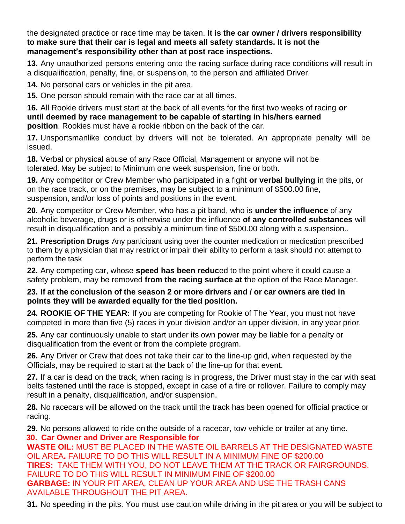the designated practice or race time may be taken. **It is the car owner / drivers responsibility to make sure that their car is legal and meets all safety standards. It is not the management's responsibility other than at post race inspections.**

**13.** Any unauthorized persons entering onto the racing surface during race conditions will result in a disqualification, penalty, fine, or suspension, to the person and affiliated Driver.

**14.** No personal cars or vehicles in the pit area.

**15.** One person should remain with the race car at all times.

**16.** All Rookie drivers must start at the back of all events for the first two weeks of racing **or until deemed by race management to be capable of starting in his/hers earned position**. Rookies must have a rookie ribbon on the back of the car.

**17.** Unsportsmanlike conduct by drivers will not be tolerated. An appropriate penalty will be issued.

**18.** Verbal or physical abuse of any Race Official, Management or anyone will not be tolerated. May be subject to Minimum one week suspension, fine or both.

**19.** Any competitor or Crew Member who participated in a fight **or verbal bullying** in the pits, or on the race track, or on the premises, may be subject to a minimum of \$500.00 fine, suspension, and/or loss of points and positions in the event.

**20.** Any competitor or Crew Member, who has a pit band, who is **under the influence** of any alcoholic beverage, drugs or is otherwise under the influence **of any controlled substances** will result in disqualification and a possibly a minimum fine of \$500.00 along with a suspension..

**21. Prescription Drugs** Any participant using over the counter medication or medication prescribed to them by a physician that may restrict or impair their ability to perform a task should not attempt to perform the task

**22.** Any competing car, whose **speed has been reduc**ed to the point where it could cause a safety problem, may be removed **from the racing surface at t**he option of the Race Manager.

#### **23. If at the conclusion of the season 2 or more drivers and / or car owners are tied in points they will be awarded equally for the tied position.**

**24. ROOKIE OF THE YEAR:** If you are competing for Rookie of The Year, you must not have competed in more than five (5) races in your division and/or an upper division, in any year prior.

**25.** Any car continuously unable to start under its own power may be liable for a penalty or disqualification from the event or from the complete program.

**26.** Any Driver or Crew that does not take their car to the line-up grid, when requested by the Officials, may be required to start at the back of the line-up for that event.

**27.** If a car is dead on the track, when racing is in progress, the Driver must stay in the car with seat belts fastened until the race is stopped, except in case of a fire or rollover. Failure to comply may result in a penalty, disqualification, and/or suspension.

**28.** No racecars will be allowed on the track until the track has been opened for official practice or racing.

**29.** No persons allowed to ride on the outside of a racecar, tow vehicle or trailer at any time. **30. Car Owner and Driver are Responsible for**

**WASTE OIL:** MUST BE PLACED IN THE WASTE OIL BARRELS AT THE DESIGNATED WASTE OIL AREA**.** FAILURE TO DO THIS WILL RESULT IN A MINIMUM FINE OF \$200.00 **TIRES:** TAKE THEM WITH YOU, DO NOT LEAVE THEM AT THE TRACK OR FAIRGROUNDS. FAILURE TO DO THIS WILL RESULT IN MINIMUM FINE OF \$200.00 **GARBAGE:** IN YOUR PIT AREA, CLEAN UP YOUR AREA AND USE THE TRASH CANS AVAILABLE THROUGHOUT THE PIT AREA.

**31.** No speeding in the pits. You must use caution while driving in the pit area or you will be subject to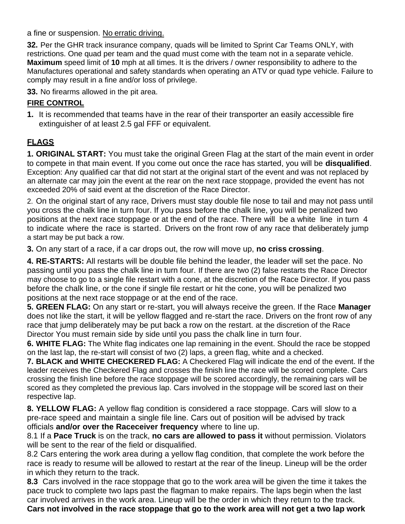a fine or suspension. No erratic driving.

**32.** Per the GHR track insurance company, quads will be limited to Sprint Car Teams ONLY, with restrictions. One quad per team and the quad must come with the team not in a separate vehicle. **Maximum** speed limit of **10** mph at all times. It is the drivers / owner responsibility to adhere to the Manufactures operational and safety standards when operating an ATV or quad type vehicle. Failure to comply may result in a fine and/or loss of privilege.

**33.** No firearms allowed in the pit area.

## **FIRE CONTROL**

**1.** It is recommended that teams have in the rear of their transporter an easily accessible fire extinguisher of at least 2.5 gal FFF or equivalent.

# **FLAGS**

**1. ORIGINAL START:** You must take the original Green Flag at the start of the main event in order to compete in that main event. If you come out once the race has started, you will be **disqualified**. Exception: Any qualified car that did not start at the original start of the event and was not replaced by an alternate car may join the event at the rear on the next race stoppage, provided the event has not exceeded 20% of said event at the discretion of the Race Director.

2. On the original start of any race, Drivers must stay double file nose to tail and may not pass until you cross the chalk line in turn four. If you pass before the chalk line, you will be penalized two positions at the next race stoppage or at the end of the race. There will be a white line in turn 4 to indicate where the race is started. Drivers on the front row of any race that deliberately jump a start may be put back a row.

**3.** On any start of a race, if a car drops out, the row will move up, **no criss crossing**.

**4. RE-STARTS:** All restarts will be double file behind the leader, the leader will set the pace. No passing until you pass the chalk line in turn four. If there are two (2) false restarts the Race Director may choose to go to a single file restart with a cone, at the discretion of the Race Director. If you pass before the chalk line, or the cone if single file restart or hit the cone, you will be penalized two positions at the next race stoppage or at the end of the race.

**5. GREEN FLAG:** On any start or re-start, you will always receive the green. If the Race **Manager** does not like the start, it will be yellow flagged and re-start the race. Drivers on the front row of any race that jump deliberately may be put back a row on the restart. at the discretion of the Race Director You must remain side by side until you pass the chalk line in turn four.

**6. WHITE FLAG:** The White flag indicates one lap remaining in the event. Should the race be stopped on the last lap, the re-start will consist of two (2) laps, a green flag, white and a checked.

**7. BLACK and WHITE CHECKERED FLAG:** A Checkered Flag will indicate the end of the event. If the leader receives the Checkered Flag and crosses the finish line the race will be scored complete. Cars crossing the finish line before the race stoppage will be scored accordingly, the remaining cars will be scored as they completed the previous lap. Cars involved in the stoppage will be scored last on their respective lap.

**8. YELLOW FLAG:** A yellow flag condition is considered a race stoppage. Cars will slow to a pre-race speed and maintain a single file line. Cars out of position will be advised by track officials **and/or over the Raceceiver frequency** where to line up.

8.1 If a **Pace Truck** is on the track, **no cars are allowed to pass it** without permission. Violators will be sent to the rear of the field or disqualified.

8.2 Cars entering the work area during a yellow flag condition, that complete the work before the race is ready to resume will be allowed to restart at the rear of the lineup. Lineup will be the order in which they return to the track.

**8.3** Cars involved in the race stoppage that go to the work area will be given the time it takes the pace truck to complete two laps past the flagman to make repairs. The laps begin when the last car involved arrives in the work area. Lineup will be the order in which they return to the track. **Cars not involved in the race stoppage that go to the work area will not get a two lap work**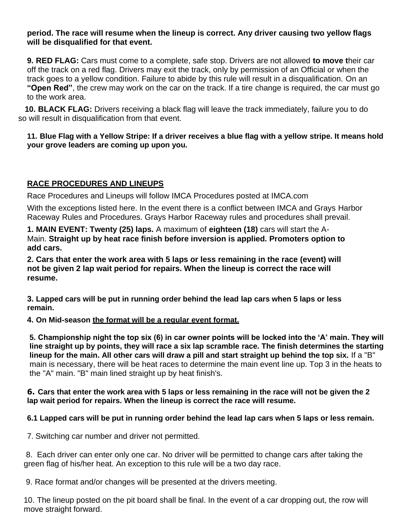#### **period. The race will resume when the lineup is correct. Any driver causing two yellow flags will be disqualified for that event.**

**9. RED FLAG:** Cars must come to a complete, safe stop. Drivers are not allowed **to move t**heir car off the track on a red flag. Drivers may exit the track, only by permission of an Official or when the track goes to a yellow condition. Failure to abide by this rule will result in a disqualification. On an **"Open Red"**, the crew may work on the car on the track. If a tire change is required, the car must go to the work area.

**10. BLACK FLAG:** Drivers receiving a black flag will leave the track immediately, failure you to do so will result in disqualification from that event.

#### 11. Blue Flag with a Yellow Stripe: If a driver receives a blue flag with a yellow stripe. It means hold **your grove leaders are coming up upon you.**

## **RACE PROCEDURES AND LINEUPS**

Race Procedures and Lineups will follow IMCA Procedures posted at IMCA.com

With the exceptions listed here. In the event there is a conflict between IMCA and Grays Harbor Raceway Rules and Procedures. Grays Harbor Raceway rules and procedures shall prevail.

**1. MAIN EVENT: Twenty (25) laps.** A maximum of **eighteen (18)** cars will start the A-Main. **Straight up by heat race finish before inversion is applied. Promoters option to add cars.**

**2. Cars that enter the work area with 5 laps or less remaining in the race (event) will not be given 2 lap wait period for repairs. When the lineup is correct the race will resume.**

**3. Lapped cars will be put in running order behind the lead lap cars when 5 laps or less remain.**

#### **4. On Mid-season the format will be a regular event format.**

**5. Championship night the top six (6) in car owner points will be locked into the 'A' main. They will line straight up by points, they will race a six lap scramble race. The finish determines the starting lineup for the main. All other cars will draw a pill and start straight up behind the top six.** If a "B" main is necessary, there will be heat races to determine the main event line up. Top 3 in the heats to the "A" main. "B" main lined straight up by heat finish's.

#### **6. Cars that enter the work area with 5 laps or less remaining in the race will not be given the 2 lap wait period for repairs. When the lineup is correct the race will resume.**

## **6.1 Lapped cars will be put in running order behind the lead lap cars when 5 laps or less remain.**

7. Switching car number and driver not permitted.

8. Each driver can enter only one car. No driver will be permitted to change cars after taking the green flag of his/her heat. An exception to this rule will be a two day race.

9. Race format and/or changes will be presented at the drivers meeting.

10. The lineup posted on the pit board shall be final. In the event of a car dropping out, the row will move straight forward.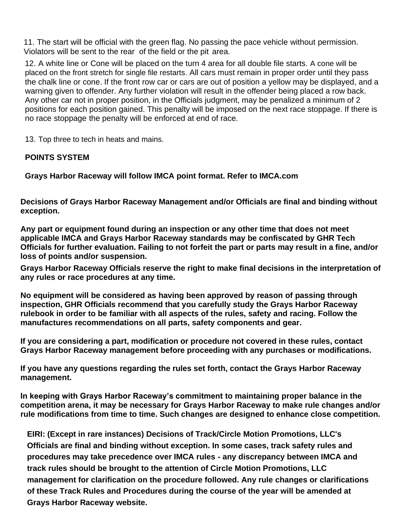11. The start will be official with the green flag. No passing the pace vehicle without permission. Violators will be sent to the rear of the field or the pit area.

12. A white line or Cone will be placed on the turn 4 area for all double file starts. A cone will be placed on the front stretch for single file restarts. All cars must remain in proper order until they pass the chalk line or cone. If the front row car or cars are out of position a yellow may be displayed, and a warning given to offender. Any further violation will result in the offender being placed a row back. Any other car not in proper position, in the Officials judgment, may be penalized a minimum of 2 positions for each position gained. This penalty will be imposed on the next race stoppage. If there is no race stoppage the penalty will be enforced at end of race.

13. Top three to tech in heats and mains.

#### **POINTS SYSTEM**

**Grays Harbor Raceway will follow IMCA point format. Refer to IMCA.com**

**Decisions of Grays Harbor Raceway Management and/or Officials are final and binding without exception.**

**Any part or equipment found during an inspection or any other time that does not meet applicable IMCA and Grays Harbor Raceway standards may be confiscated by GHR Tech Officials for further evaluation. Failing to not forfeit the part or parts may result in a fine, and/or loss of points and/or suspension.**

**Grays Harbor Raceway Officials reserve the right to make final decisions in the interpretation of any rules or race procedures at any time.**

**No equipment will be considered as having been approved by reason of passing through inspection, GHR Officials recommend that you carefully study the Grays Harbor Raceway rulebook in order to be familiar with all aspects of the rules, safety and racing. Follow the manufactures recommendations on all parts, safety components and gear.**

**If you are considering a part, modification or procedure not covered in these rules, contact Grays Harbor Raceway management before proceeding with any purchases or modifications.**

**If you have any questions regarding the rules set forth, contact the Grays Harbor Raceway management.**

**In keeping with Grays Harbor Raceway's commitment to maintaining proper balance in the competition arena, it may be necessary for Grays Harbor Raceway to make rule changes and/or rule modifications from time to time. Such changes are designed to enhance close competition.**

**EIRI: (Except in rare instances) Decisions of Track/Circle Motion Promotions, LLC's Officials are final and binding without exception. In some cases, track safety rules and procedures may take precedence over IMCA rules - any discrepancy between IMCA and track rules should be brought to the attention of Circle Motion Promotions, LLC management for clarification on the procedure followed. Any rule changes or clarifications of these Track Rules and Procedures during the course of the year will be amended at Grays Harbor Raceway website.**